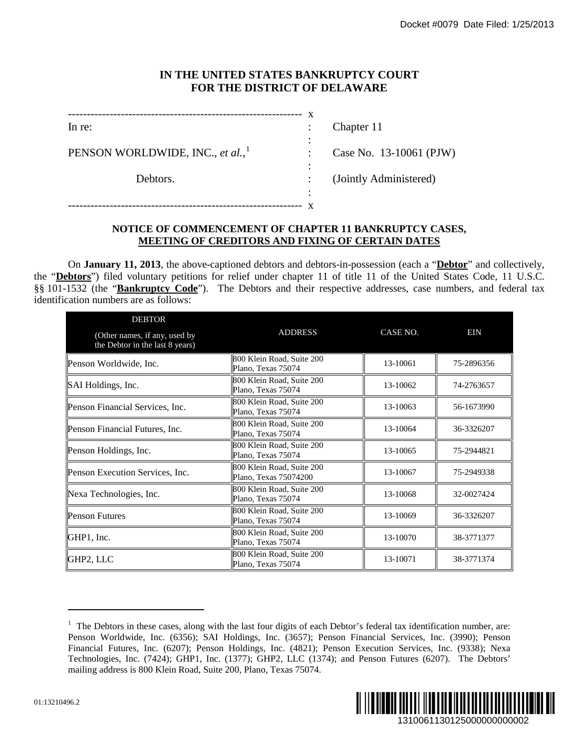## **IN THE UNITED STATES BANKRUPTCY COURT FOR THE DISTRICT OF DELAWARE**

| In re:                                       |        | Chapter 11              |
|----------------------------------------------|--------|-------------------------|
| PENSON WORLDWIDE, INC., et al., <sup>1</sup> | ÷      | Case No. 13-10061 (PJW) |
| Debtors.                                     | ٠<br>٠ | (Jointly Administered)  |
|                                              | ٠      |                         |

## **NOTICE OF COMMENCEMENT OF CHAPTER 11 BANKRUPTCY CASES, MEETING OF CREDITORS AND FIXING OF CERTAIN DATES**

On **January 11, 2013**, the above-captioned debtors and debtors-in-possession (each a "**Debtor**" and collectively, the "**Debtors**") filed voluntary petitions for relief under chapter 11 of title 11 of the United States Code, 11 U.S.C. §§ 101-1532 (the "**Bankruptcy Code**"). The Debtors and their respective addresses, case numbers, and federal tax identification numbers are as follows:

| In re:                                                                                                                                                                                                                                            | $\mathbf{X}$                                                                                                      | Chapter 11              |            |  |  |
|---------------------------------------------------------------------------------------------------------------------------------------------------------------------------------------------------------------------------------------------------|-------------------------------------------------------------------------------------------------------------------|-------------------------|------------|--|--|
| PENSON WORLDWIDE, INC., et al.,                                                                                                                                                                                                                   |                                                                                                                   | Case No. 13-10061 (PJW) |            |  |  |
|                                                                                                                                                                                                                                                   |                                                                                                                   |                         |            |  |  |
| Debtors.                                                                                                                                                                                                                                          |                                                                                                                   | (Jointly Administered)  |            |  |  |
|                                                                                                                                                                                                                                                   |                                                                                                                   |                         |            |  |  |
|                                                                                                                                                                                                                                                   | NOTICE OF COMMENCEMENT OF CHAPTER 11 BANKRUPTCY CASES,<br><b>MEETING OF CREDITORS AND FIXING OF CERTAIN DATES</b> |                         |            |  |  |
|                                                                                                                                                                                                                                                   |                                                                                                                   |                         |            |  |  |
| On <b>January 11, 2013</b> , the above-captioned debtors and debtors-in-possession (each a " <b>Debtor</b> " and collectively,<br>ebtors") filed voluntary petitions for relief under chapter 11 of title 11 of the United States Code, 11 U.S.C. |                                                                                                                   |                         |            |  |  |
| 1532 (the "Bankruptcy Code"). The Debtors and their respective addresses, case numbers, and federal tax<br>cation numbers are as follows:                                                                                                         |                                                                                                                   |                         |            |  |  |
| <b>DEBTOR</b>                                                                                                                                                                                                                                     |                                                                                                                   |                         |            |  |  |
| (Other names, if any, used by<br>the Debtor in the last 8 years)                                                                                                                                                                                  | <b>ADDRESS</b>                                                                                                    | CASE NO.                | EIN        |  |  |
| Penson Worldwide, Inc.                                                                                                                                                                                                                            | 800 Klein Road, Suite 200<br>Plano, Texas 75074                                                                   | 13-10061                | 75-2896356 |  |  |
| SAI Holdings, Inc.                                                                                                                                                                                                                                | 800 Klein Road, Suite 200<br>Plano, Texas 75074                                                                   | 13-10062                | 74-2763657 |  |  |
| Penson Financial Services, Inc.                                                                                                                                                                                                                   | 800 Klein Road, Suite 200<br>Plano, Texas 75074                                                                   | 13-10063                | 56-1673990 |  |  |
| Penson Financial Futures, Inc.                                                                                                                                                                                                                    | 800 Klein Road, Suite 200<br>Plano, Texas 75074                                                                   | 13-10064                | 36-3326207 |  |  |
| Penson Holdings, Inc.                                                                                                                                                                                                                             | 800 Klein Road, Suite 200<br>Plano, Texas 75074                                                                   | 13-10065                | 75-2944821 |  |  |
| Penson Execution Services, Inc.                                                                                                                                                                                                                   | 800 Klein Road, Suite 200<br>Plano, Texas 75074200                                                                | 13-10067                | 75-2949338 |  |  |
| Nexa Technologies, Inc.                                                                                                                                                                                                                           | 800 Klein Road, Suite 200<br>Plano, Texas 75074                                                                   | 13-10068                | 32-0027424 |  |  |
| <b>Penson Futures</b>                                                                                                                                                                                                                             | 800 Klein Road, Suite 200<br>Plano, Texas 75074                                                                   | 13-10069                | 36-3326207 |  |  |
|                                                                                                                                                                                                                                                   | 800 Klein Road, Suite 200<br>Plano, Texas 75074                                                                   | 13-10070                | 38-3771377 |  |  |
| GHP1, Inc.                                                                                                                                                                                                                                        | 800 Klein Road, Suite 200                                                                                         | 13-10071                | 38-3771374 |  |  |
|                                                                                                                                                                                                                                                   |                                                                                                                   |                         |            |  |  |
| GHP2, LLC                                                                                                                                                                                                                                         | Plano, Texas 75074                                                                                                |                         |            |  |  |

<span id="page-0-0"></span> $<sup>1</sup>$  The Debtors in these cases, along with the last four digits of each Debtor's federal tax identification number, are:</sup> Penson Worldwide, Inc. (6356); SAI Holdings, Inc. (3657); Penson Financial Services, Inc. (3990); Penson Financial Futures, Inc. (6207); Penson Holdings, Inc. (4821); Penson Execution Services, Inc. (9338); Nexa Technologies, Inc. (7424); GHP1, Inc. (1377); GHP2, LLC (1374); and Penson Futures (6207). The Debtors' mailing address is 800 Klein Road, Suite 200, Plano, Texas 75074.

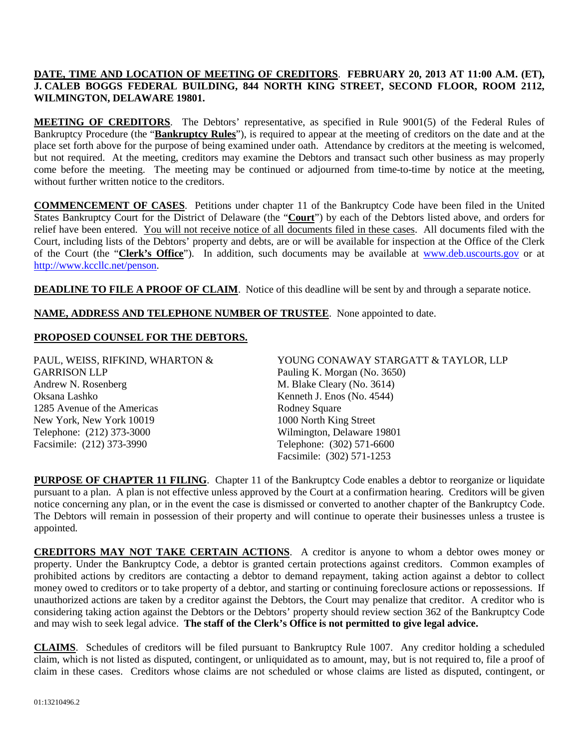## **DATE, TIME AND LOCATION OF MEETING OF CREDITORS**. **FEBRUARY 20, 2013 AT 11:00 A.M. (ET), J. CALEB BOGGS FEDERAL BUILDING, 844 NORTH KING STREET, SECOND FLOOR, ROOM 2112, WILMINGTON, DELAWARE 19801.**

**MEETING OF CREDITORS**. The Debtors' representative, as specified in Rule 9001(5) of the Federal Rules of Bankruptcy Procedure (the "**Bankruptcy Rules**"), is required to appear at the meeting of creditors on the date and at the place set forth above for the purpose of being examined under oath. Attendance by creditors at the meeting is welcomed, but not required. At the meeting, creditors may examine the Debtors and transact such other business as may properly come before the meeting. The meeting may be continued or adjourned from time-to-time by notice at the meeting, without further written notice to the creditors.

**COMMENCEMENT OF CASES**. Petitions under chapter 11 of the Bankruptcy Code have been filed in the United States Bankruptcy Court for the District of Delaware (the "**Court**") by each of the Debtors listed above, and orders for relief have been entered. You will not receive notice of all documents filed in these cases. All documents filed with the Court, including lists of the Debtors' property and debts, are or will be available for inspection at the Office of the Clerk of the Court (the "**Clerk's Office**"). In addition, such documents may be available at [www.deb.uscourts.gov](http://www.deb.uscourts.gov/) or at [http://www.kccllc.net/penson.](http://www.kccllc.net/penson)

**DEADLINE TO FILE A PROOF OF CLAIM**. Notice of this deadline will be sent by and through a separate notice.

**NAME, ADDRESS AND TELEPHONE NUMBER OF TRUSTEE**. None appointed to date.

## **PROPOSED COUNSEL FOR THE DEBTORS.**

PAUL, WEISS, RIFKIND, WHARTON & GARRISON LLP Andrew N. Rosenberg Oksana Lashko 1285 Avenue of the Americas New York, New York 10019 Telephone: (212) 373-3000 Facsimile: (212) 373-3990

YOUNG CONAWAY STARGATT & TAYLOR, LLP Pauling K. Morgan (No. 3650) M. Blake Cleary (No. 3614) Kenneth J. Enos (No. 4544) Rodney Square 1000 North King Street Wilmington, Delaware 19801 Telephone: (302) 571-6600 Facsimile: (302) 571-1253

**PURPOSE OF CHAPTER 11 FILING**. Chapter 11 of the Bankruptcy Code enables a debtor to reorganize or liquidate pursuant to a plan. A plan is not effective unless approved by the Court at a confirmation hearing. Creditors will be given notice concerning any plan, or in the event the case is dismissed or converted to another chapter of the Bankruptcy Code. The Debtors will remain in possession of their property and will continue to operate their businesses unless a trustee is appointed.

**CREDITORS MAY NOT TAKE CERTAIN ACTIONS**. A creditor is anyone to whom a debtor owes money or property. Under the Bankruptcy Code, a debtor is granted certain protections against creditors. Common examples of prohibited actions by creditors are contacting a debtor to demand repayment, taking action against a debtor to collect money owed to creditors or to take property of a debtor, and starting or continuing foreclosure actions or repossessions. If unauthorized actions are taken by a creditor against the Debtors, the Court may penalize that creditor. A creditor who is considering taking action against the Debtors or the Debtors' property should review section 362 of the Bankruptcy Code and may wish to seek legal advice. **The staff of the Clerk's Office is not permitted to give legal advice.**

**CLAIMS**. Schedules of creditors will be filed pursuant to Bankruptcy Rule 1007. Any creditor holding a scheduled claim, which is not listed as disputed, contingent, or unliquidated as to amount, may, but is not required to, file a proof of claim in these cases. Creditors whose claims are not scheduled or whose claims are listed as disputed, contingent, or